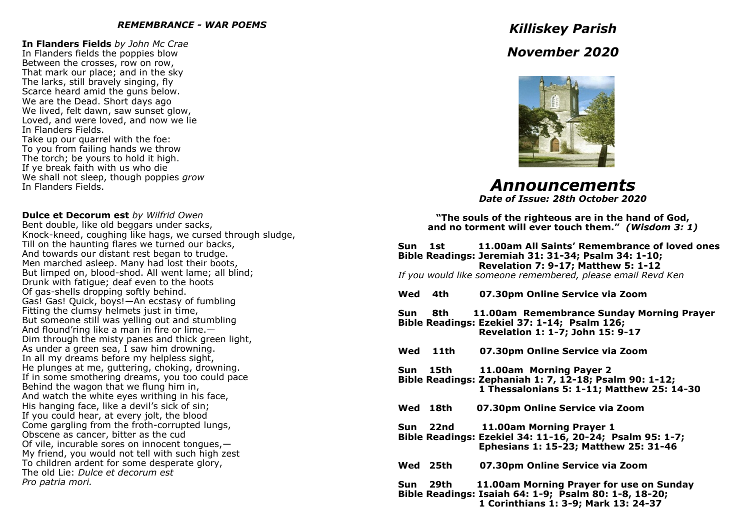#### *REMEMBRANCE - WAR POEMS*

**In Flanders Fields** *by John Mc Crae* In Flanders fields the poppies blow Between the crosses, row on row, That mark our place; and in the sky The larks, still bravely singing, fly Scarce heard amid the guns below. We are the Dead. Short days ago We lived, felt dawn, saw sunset glow, Loved, and were loved, and now we lie In Flanders Fields. Take up our quarrel with the foe: To you from failing hands we throw The torch; be yours to hold it high. If ye break faith with us who die We shall not sleep, though poppies *grow* In Flanders Fields.

#### **Dulce et Decorum est** *by Wilfrid Owen*

Bent double, like old beggars under sacks, Knock-kneed, coughing like hags, we cursed through sludge, Till on the haunting flares we turned our backs, And towards our distant rest began to trudge. Men marched asleep. Many had lost their boots, But limped on, blood-shod. All went lame; all blind; Drunk with fatigue; deaf even to the hoots Of gas-shells dropping softly behind. Gas! Gas! Quick, boys!—An ecstasy of fumbling Fitting the clumsy helmets just in time, But someone still was yelling out and stumbling And flound'ring like a man in fire or lime.— Dim through the misty panes and thick green light, As under a green sea, I saw him drowning. In all my dreams before my helpless sight, He plunges at me, guttering, choking, drowning. If in some smothering dreams, you too could pace Behind the wagon that we flung him in, And watch the white eyes writhing in his face, His hanging face, like a devil's sick of sin; If you could hear, at every jolt, the blood Come gargling from the froth-corrupted lungs, Obscene as cancer, bitter as the cud Of vile, incurable sores on innocent tongues,— My friend, you would not tell with such high zest To children ardent for some desperate glory, The old Lie: *Dulce et decorum est Pro patria mori.*

# *Killiskey Parish November 2020*



*Announcements*

*Date of Issue: 28th October 2020*

**"The souls of the righteous are in the hand of God, and no torment will ever touch them."** *(Wisdom 3: 1)* 

# **Sun 1st 11.00am All Saints' Remembrance of loved ones Bible Readings: Jeremiah 31: 31-34; Psalm 34: 1-10; Revelation 7: 9-17; Matthew 5: 1-12**

*If you would like someone remembered, please email Revd Ken* 

- **Wed 4th 07.30pm Online Service via Zoom Sun 8th 11.00am Remembrance Sunday Morning Prayer Bible Readings: Ezekiel 37: 1-14; Psalm 126; Revelation 1: 1-7; John 15: 9-17 Wed 11th 07.30pm Online Service via Zoom Sun 15th 11.00am Morning Payer 2**
- **Bible Readings: Zephaniah 1: 7, 12-18; Psalm 90: 1-12; 1 Thessalonians 5: 1-11; Matthew 25: 14-30**
- **Wed 18th 07.30pm Online Service via Zoom**

**Sun 22nd 11.00am Morning Prayer 1 Bible Readings: Ezekiel 34: 11-16, 20-24; Psalm 95: 1-7; Ephesians 1: 15-23; Matthew 25: 31-46**

- **Wed 25th 07.30pm Online Service via Zoom**
- **Sun 29th 11.00am Morning Prayer for use on Sunday Bible Readings: Isaiah 64: 1-9; Psalm 80: 1-8, 18-20; 1 Corinthians 1: 3-9; Mark 13: 24-37**